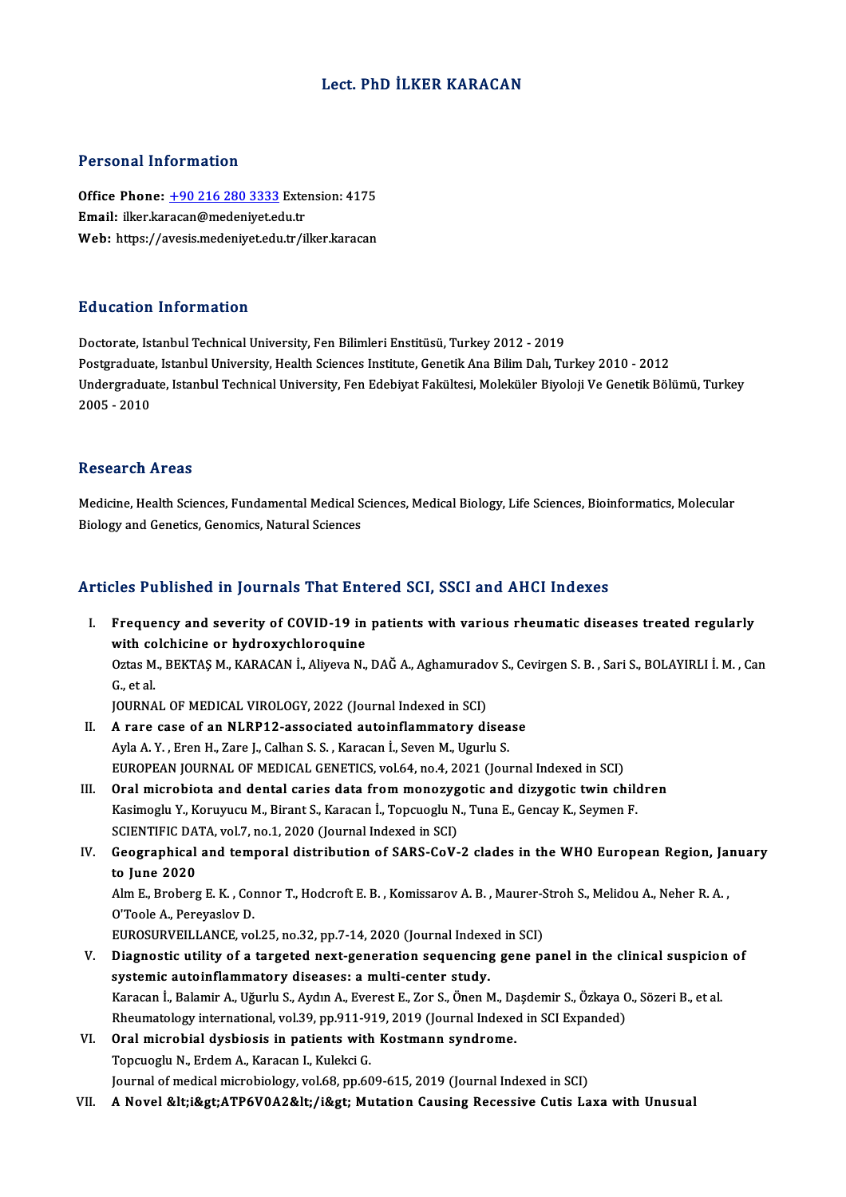### Lect. PhD İLKER KARACAN

#### Personal Information

Personal Information<br>Office Phone: <u>+90 216 280 3333</u> Extension: 4175<br>Email: illiar karacan@madaniyat.edu.tr Personal Information<br>Office Phone: <u>+90 216 280 3333</u> Exte<br>Email: ilker.ka[racan@medeniyet.ed](tel:+90 216 280 3333)u.tr Email: ilker.karacan@medeniyet.edu.tr<br>Web: https://avesis.medeniyet.edu.tr/ilker.karacan

#### Education Information

Doctorate, Istanbul Technical University, Fen Bilimleri Enstitüsü, Turkey 2012 - 2019 Puususeen minematesen<br>Doctorate, Istanbul Technical University, Fen Bilimleri Enstitüsü, Turkey 2012 - 2019<br>Postgraduate, Istanbul University, Health Sciences Institute, Genetik Ana Bilim Dalı, Turkey 2010 - 2012<br>Undergrad Undergraduate, Istanbul Technical University, Fen Edebiyat Fakültesi, Moleküler Biyoloji Ve Genetik Bölümü, Turkey<br>2005 - 2010 Postgraduate<br>Undergradua<br>2005 - 2010

#### Research Areas

Research Areas<br>Medicine, Health Sciences, Fundamental Medical Sciences, Medical Biology, Life Sciences, Bioinformatics, Molecular<br>Biolegy and Constise Conomise Natural Sciences Rebeur en 111 eus<br>Medicine, Health Sciences, Fundamental Medical S<br>Biology and Genetics, Genomics, Natural Sciences

# Biology and Genetics, Genomics, Natural Sciences<br>Articles Published in Journals That Entered SCI, SSCI and AHCI Indexes

I. Frequency and severity of COVID-19 in patients with various rheumatic diseases treated regularly Frequency and severity of COVID-19 in<br>with colchicine or hydroxychloroquine<br>Ortec M. BEKTAS M. KABACAN L. Alivoya N. Frequency and severity of COVID-19 in patients with various rheumatic diseases treated regularly<br>with colchicine or hydroxychloroquine<br>Oztas M., BEKTAŞ M., KARACAN İ., Aliyeva N., DAĞ A., Aghamuradov S., Cevirgen S. B. , S with co<br>Oztas M<br>G., et al.<br>IOUPNA Oztas M., BEKTAŞ M., KARACAN İ., Aliyeva N., DAĞ A., Aghamurado<br>G., et al.<br>JOURNAL OF MEDICAL VIROLOGY, 2022 (Journal Indexed in SCI)<br>A. rare gase of an NJ PP12, associated euteinflammatery di

JOURNAL OF MEDICAL VIROLOGY, 2022 (Journal Indexed in SCI)

- G., et al.<br>JOURNAL OF MEDICAL VIROLOGY, 2022 (Journal Indexed in SCI)<br>II. A rare case of an NLRP12-associated autoinflammatory disease<br>Ayla A. Y. , Eren H., Zare J., Calhan S. S. , Karacan İ., Seven M., Ugurlu S. A rare case of an NLRP12-associated autoinflammatory disease<br>Ayla A. Y. , Eren H., Zare J., Calhan S. S. , Karacan İ., Seven M., Ugurlu S.<br>EUROPEAN JOURNAL OF MEDICAL GENETICS, vol.64, no.4, 2021 (Journal Indexed in SCI)<br>O Ayla A. Y., Eren H., Zare J., Calhan S. S., Karacan İ., Seven M., Ugurlu S.<br>EUROPEAN JOURNAL OF MEDICAL GENETICS, vol.64, no.4, 2021 (Journal Indexed in SCI)<br>III. Oral microbiota and dental caries data from monozygotic and
- EUROPEAN JOURNAL OF MEDICAL GENETICS, vol.64, no.4, 2021 (Journal Indexed in SCI)<br>Oral microbiota and dental caries data from monozygotic and dizygotic twin child<br>Kasimoglu Y., Koruyucu M., Birant S., Karacan İ., Topcuoglu Oral microbiota and dental caries data from monozyg<br>Kasimoglu Y., Koruyucu M., Birant S., Karacan İ., Topcuoglu N<br>SCIENTIFIC DATA, vol.7, no.1, 2020 (Journal Indexed in SCI)<br>Coographical and temporal distribution of SARS C Kasimoglu Y., Koruyucu M., Birant S., Karacan İ., Topcuoglu N., Tuna E., Gencay K., Seymen F.<br>SCIENTIFIC DATA, vol.7, no.1, 2020 (Journal Indexed in SCI)<br>IV. Geographical and temporal distribution of SARS-CoV-2 clades in t
- SCIENTIFIC DATA, vol.7, no.1, 2020 (Journal Indexed in SCI)<br>Geographical and temporal distribution of SARS-CoV-<br>to June 2020 Geographical and temporal distribution of SARS-CoV-2 clades in the WHO European Region, Ja:<br>to June 2020<br>Alm E., Broberg E. K. , Connor T., Hodcroft E. B. , Komissarov A. B. , Maurer-Stroh S., Melidou A., Neher R. A. ,<br>O'T

to June 2020<br>Alm E., Broberg E. K. , Col<br>O'Toole A., Pereyaslov D.<br>FUROSURVEU LANCE VO Alm E., Broberg E. K. , Connor T., Hodcroft E. B. , Komissarov A. B. , Maurer-S<br>O'Toole A., Pereyaslov D.<br>EUROSURVEILLANCE, vol.25, no.32, pp.7-14, 2020 (Journal Indexed in SCI)<br>Diagnostic utility of a tergoted next genera

- O'Toole A., Pereyaslov D.<br>EUROSURVEILLANCE, vol.25, no.32, pp.7-14, 2020 (Journal Indexed in SCI)<br>V. Diagnostic utility of a targeted next-generation sequencing gene panel in the clinical suspicion of<br>systemic autoinfl EUROSURVEILLANCE, vol.25, no.32, pp.7-14, 2020 (Journal Indexe<br>Diagnostic utility of a targeted next-generation sequencing<br>systemic autoinflammatory diseases: a multi-center study.<br>Karasan L Balamir A, Uğurlu S, Aydın A, E Diagnostic utility of a targeted next-generation sequencing gene panel in the clinical suspicior<br>systemic autoinflammatory diseases: a multi-center study.<br>Karacan İ., Balamir A., Uğurlu S., Aydın A., Everest E., Zor S., Ön systemic autoinflammatory diseases: a multi-center study.<br>Karacan İ., Balamir A., Uğurlu S., Aydın A., Everest E., Zor S., Önen M., Daşdemir S., Özkaya C<br>Rheumatology international, vol.39, pp.911-919, 2019 (Journal Indexe Karacan İ., Balamir A., Uğurlu S., Aydın A., Everest E., Zor S., Önen M., Dann Rheumatology international, vol. 39, pp. 911-919, 2019 (Journal Indexed VI.<br>VI. Oral microbial dysbiosis in patients with Kostmann syndrome.<br>Te
- Rheumatology international, vol.39, pp.911-9<br>Oral microbial dysbiosis in patients with<br>Topcuoglu N., Erdem A., Karacan I., Kulekci G.<br>Journal of medical microbialogy, vol.69, pp.66 Oral microbial dysbiosis in patients with Kostmann syndrome.<br>Topcuoglu N., Erdem A., Karacan I., Kulekci G.<br>Journal of medical microbiology, vol.68, pp.609-615, 2019 (Journal Indexed in SCI)
- VII. A Novel <i&gt;ATP6V0A2&lt;/i&gt; Mutation Causing Recessive Cutis Laxa with Unusual